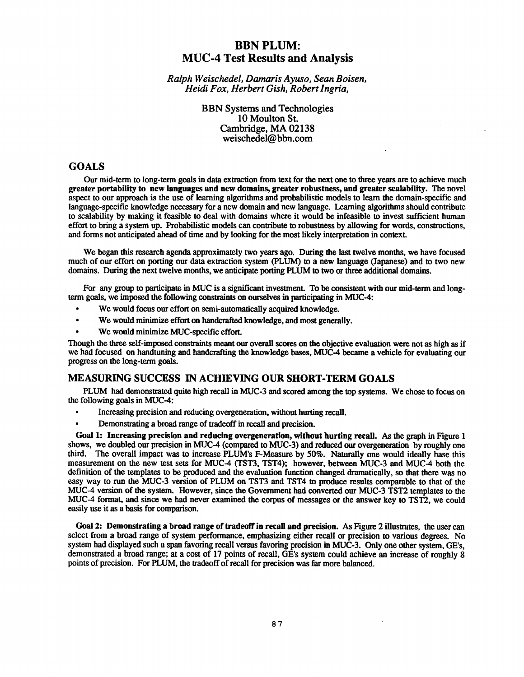# **BBN PLUM : MUC-4 Test Results and Analysis**

*Ralph Weischedel, Damaris Ayuso, Sean Boisen , Heidi Fox, Herbert Gish, Robert Ingria,*

> **BBN Systems and Technologies** 10 Moulton St. Cambridge, MA 02138 weischedel@bbn.com

## **GOALS**

Our mid-term to long-term goals in data extraction from text for the next one to three years are to achieve much **greater portability to** new **languages and new domains, greater robustness, and greater scalability .** The nove <sup>l</sup> aspect to our approach is the use of learning algorithms and probabilistic models to learn the domain-specific and language-specific **knowledge** necessary for a new domain **and** new **language. Learning** algorithms should contribute to scalability by making it feasible to deal with domains where it would be infeasible to invest sufficient human effort to bring a system up. Probabilistic models can contribute to robustness by **allowing** for words, constructions, and forms not anticipated ahead of time and by looking for the most likely interpretation in context.

We began this research **agenda** approximately two years **ago. During** the last twelve **months,** we have focused much of our effort on porting our data extraction system (PLUM) to a new language (Japanese) and to two new domains. During the next twelve months, we anticipate porting PLUM to two or three **additional** domains.

For any group to participate in MUC is a significant investment. To be consistent with our mid-term and long**term goals, we imposed the following constraints on ourselves in participating in MUC-4 :**

- $\bullet$ We would focus our effort on semi-automatically acquired **knowledge.**
- We **would** minimize effort on **handcrafted knowledge, and** most **generally .**
- We would minimize MUC-specific effort.

**Though** the three self-imposed constraints meant our **overall** scores **on** the **objective evaluation** were **not** as **high** as if we had focused **on handtuning and handcrafting** the **knowledge** bases, MUC-4 became a vehicle for **evaluating** our progress on the long-term goals.

## **MEASURING SUCCESS IN ACHIEVING OUR SHORT-TERM GOAL S**

PLUM had **demonstrated** quite **high** recall **in** MUC-3 **and** scored among the **top** systems. We chose to focus o <sup>n</sup> the following goals in MUC-4:

- Increasing precision **and reducing overgeneration, without hurting** recall.
- **Demonstrating** a broad **range** of tradeoff in recall and **precision.**

Goal 1: **Increasing precision and reducing overgeneration, without hurting recall.** As the graph in Figure 1 shows, we **doubled** our precision in MUC-4 (compared to MUC-3) **and reduced** our **overgeneration by roughly** one third. The overall impact was to increase PLUM's F-Measure by 50%. Naturally one would ideally base this measurement on the new test sets for MUC-4 (TST3, TST4); however, between MUC-3 and MUC-4 both the definition of the templates to be **produced** and the **evaluation function changed** dramatically, so that there was no easy way to run the MUC-3 version of PLUM on TST3 and TST4 to produce results comparable to that of the MUC-4 **version** of the system. **However,** since the Government **had converted** our MUC-3 TST2 templates to the MUC-4 format, and since we had never examined the corpus of messages or the answer key to TST2, we could easily use it as a basis for comparison.

Goal 2: Demonstrating a broad range of tradeoff in recall and precision. As Figure 2 illustrates, the user can select from a broad range of system performance, emphasizing either recall or precision to various degrees. No system had displayed such a span favoring recall versus favoring precision in MUC-3 . Only one other system, GE's, demonstrated a broad range; at a cost of 17 points of recall, GE's system could achieve an increase of roughly 8 points of precision. For PLUM, the tradeoff of recall for precision was far more balanced.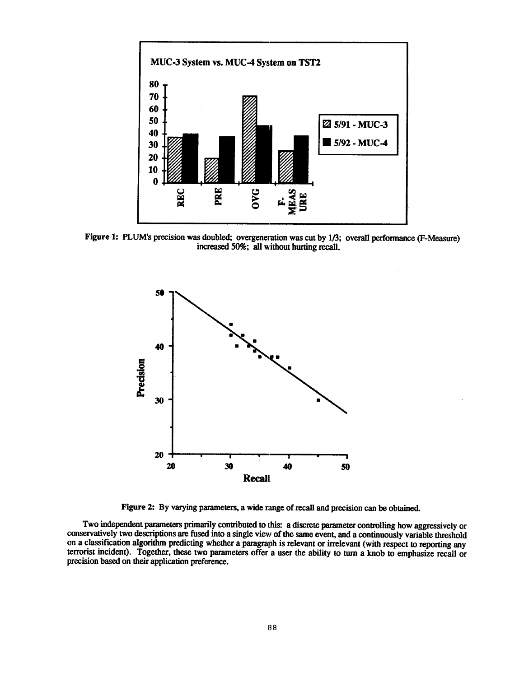

**Figure 1: PLUM's precision was doubled; overgeneration was cut by 1/3; overall performance (F-Measure ) increased 50%; all without hurting recall.**



**Figure 2: By varying parameters, a wide range of recall and precision can be obtained .**

**Two independent parameters primarily contributed to this : a discrete parameter controlling how aggressively o r** conservatively two descriptions are fused into a single view of the same event, and a continuously variable threshold **on a classification algorithm predicting whether a paragraph is relevant or irrelevant (with respect to reporting any terrorist incident). Together, these two parameters offer a user the ability to turn a knob to emphasize recall or precision based on their application preference .**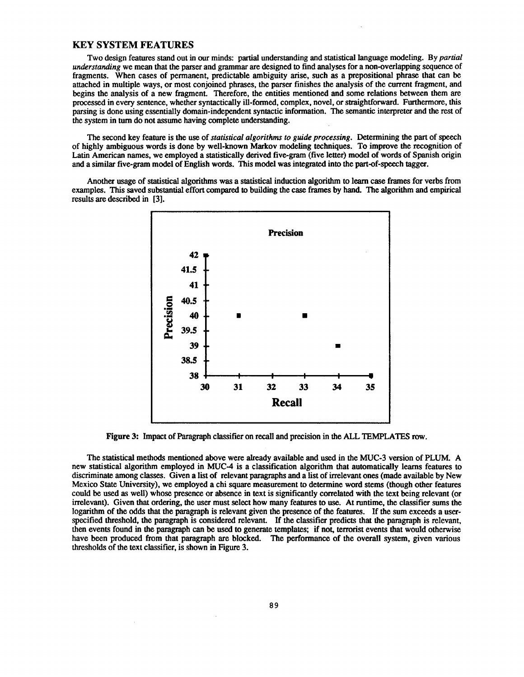## **KEY SYSTEM FEATURES**

Two design features stand out in our minds: partial understanding and statistical language modeling . By *partial understanding* we mean that the parser and grammar are designed to find analyses for a non-overlapping sequence of fragments. When cases of permanent, predictable ambiguity arise, such as a prepositional phrase that can be attached in multiple ways, or most conjoined phrases, the parser finishes the analysis of the current fragment, and begins the analysis of a new fragment. Therefore, the entities mentioned and some relations between them are processed in every sentence, whether syntactically ill-formed, complex, novel, or straightforward . Furthermore, this parsing is done using essentially domain-independent syntactic information. The semantic interpreter and the rest of the system in turn do not assume having complete **understanding.**

The second key feature is **the use** of *statistical algorithms to guide processing .* Determining the part of speec h **of highly ambiguous words is done by well-known Markov modeling techniques. To improve the recognition of** Latin American names, we employed a statistically derived five-gram (five letter) model of words of Spanish origin and a similar five-gram model of English words . This model was integrated into the **part-of-speech** tagger.

Another usage of statistical algorithms was a statistical **induction** algorithm to learn case frames for verbs from examples. This **saved substantial** effort **compared** to **building the** case **frames by hand.** The **algorithm and** empirical **results are described in [3].**



Figure 3: Impact of Paragraph classifier on recall and precision in the ALL TEMPLATES row.

The statistical methods mentioned above were already available and used in the MUC-3 version of PLUM . A new statistical algorithm employed in MUC-4 is a classification algorithm that **automatically** learns features to discriminate among classes. Given a list of relevant paragraphs and a list of irrelevant ones (made available by New Mexico State University), we employed a chi square measurement to determine word stems **(though** other features could be used as well) whose presence or absence in text is significantly correlated with the text being relevant (or irrelevant). Given that ordering, the user must select how many features to use . At runtime, the classifier sums the logarithm of the odds that the paragraph is relevant given the presence of the features. If the sum exceeds a userspecified threshold, the paragraph is considered relevant. If the classifier predicts that the paragraph is relevant, then events found in the paragraph can be used to generate templates; if not, terrorist events that would otherwise have been produced from that paragraph are blocked. The performance of the overall system, given various thresholds of the text classifier, is shown in Figure 3.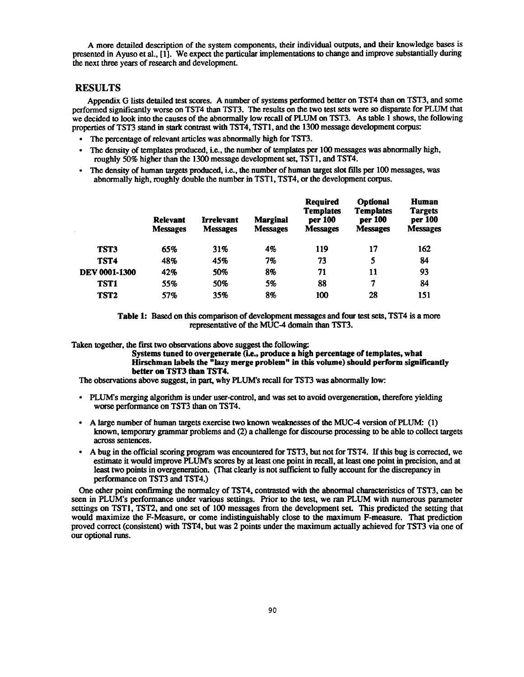A more detailed description of the system components, their **individual outputs, and** their knowledge bases is presented in Ayuso et al., [1]. We expect the **particular implementations** to **change and improve substantially** during the next three years of research and development.

### **RESULTS**

Appendix G lists detailed test scores. A number of systems performed better on TST4 than on TST3, and some performed significantly worse on TST4 than TST3. The results on the two test sets were so disparate for PLUM that we decided to look into the causes of the abnormally low recall of PLUM on TST3. As table 1 shows, the following properties of TST3 stand in stark contrast with TST4, TST1" **and** the 1300 message **development** corpus:

- The percentage of relevant articles was **abnormally** high for TST3.
- The **density** of templates **produced, i.e.,** the **number** of templates per 100 messages was **abnormally** high, **roughly** *50%* **higher** than the 1300 message **development** set, TST1, and TST4 .
- The **density** of **human** targets **produced, i.e.,** the **number** of **human** target slot fills per 100 messages, was abnormally high, roughly double the number in TST1, TST4, or the **development** corpus.

|                  | <b>Relevant</b><br><b>Messages</b> | <b>Irrelevant</b><br><b>Messages</b> | <b>Marginal</b><br><b>Messages</b> | Required<br><b>Templates</b><br>per 100<br><b>Messages</b> | <b>Optional</b><br><b>Templates</b><br>per 100<br><b>Messages</b> | Human<br><b>Targets</b><br>per 100<br><b>Messages</b> |
|------------------|------------------------------------|--------------------------------------|------------------------------------|------------------------------------------------------------|-------------------------------------------------------------------|-------------------------------------------------------|
| <b>TST3</b>      | 65%                                | 31%                                  | 4%                                 | 119                                                        | 17                                                                | 162                                                   |
| TST <sub>4</sub> | 48%                                | 45%                                  | 7%                                 | 73                                                         | 5                                                                 | 84                                                    |
| DEV 0001-1300    | 42%                                | 50%                                  | 8%                                 | 71                                                         | 11                                                                | 93                                                    |
| TST <sub>1</sub> | 55%                                | 50%                                  | 5%                                 | 88                                                         | 7                                                                 | 84                                                    |
| TST <sub>2</sub> | 57%                                | 35%                                  | 8%                                 | 100                                                        | 28                                                                | 151                                                   |

**Table 1: Based on this comparison of development messages and four test sets, TST4 is a more** representative of the MUC-4 **domain than** TST3.

Taken **together,** the first two **observations above** suggest the **following:**

**Systems tuned to overgenerate (i .e., produce a high percentage of templates, what Hirschman labels the "lazy merge problem" in this volume) should perform significantl y better on TST3 than TST4.**

The **observations above** suggest, in part, why PLUM's recall for TST3 was **abnormally** low:

- PLUM's merging algorithm is under user-control, and was set to avoid overgeneration, therefore yielding worse performance on TST3 than on TST4.
- A large **number** of **human** targets exercise two **known weaknesses** of the MUC-4 **version** of PLUM: (1) known, temporary grammar problems and (2) a challenge for discourse processing to be able to collect targets across sentences.
- A **bug** in the official scoring program was **encountered** for TST3, but not for TST4 . If this **bug** is corrected, we estimate it **would improve** PLUM's scores by at least one **point** in recall, at least one **point in** precision, and at least two **points** in **overgeneration.** (That clearly is **not** sufficient to **fully account** for the **discrepancy in** performance on TST3 and TST4.)

One other point confirming the normalcy of TST4, contrasted with the **abnormal** characteristics of TST3, can be seen in PLUM's performance under various settings. Prior to the test, we ran PLUM with numerous parameter settings on TST1, TST2, **and** one set of 100 messages from the **development** set. This predicted the setting that **would** maximize the F-Measure, **or come indistinguishably** close **to the** maximum F-measure. **That** prediction **proved** correct **(consistent)** with TST4, **but** was 2 points under the maximum **actually** achieved for TST3 via one of our optional runs.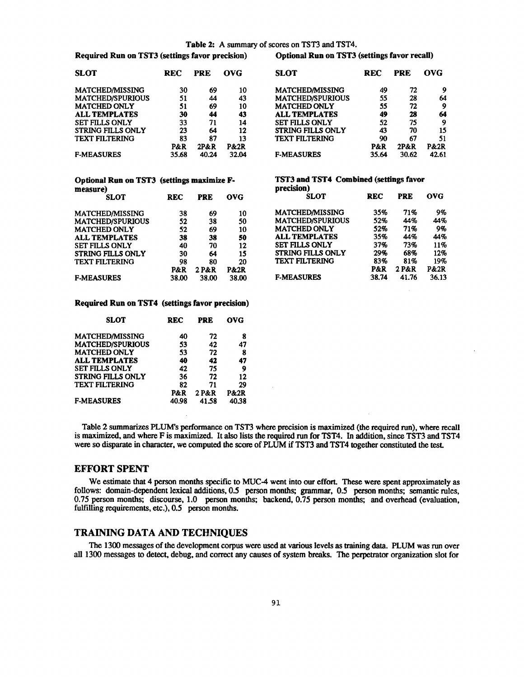### **Table 2:** A **summary** of scores on TST3 **and** TST4.

**precision)**

**Required Run on TST3 (settings favor precision) Optional Run on TST3 (settings favor recall)**

| <b>SLOT</b>             | REC   | <b>PRE</b> | <b>OVG</b>      | <b>SLOT</b>              | <b>REC</b> | <b>PRE</b> | <b>OVG</b>      |
|-------------------------|-------|------------|-----------------|--------------------------|------------|------------|-----------------|
| <b>MATCHED/MISSING</b>  | 30    | 69         | 10              | <b>MATCHED/MISSING</b>   | 49         | 72         | 9               |
| <b>MATCHED/SPURIOUS</b> | 51    | 44         | 43              | <b>MATCHED/SPURIOUS</b>  | 55         | 28         | 64              |
| <b>MATCHED ONLY</b>     | 51    | 69         | 10              | <b>MATCHED ONLY</b>      | 55         | 72         | 9               |
| <b>ALL TEMPLATES</b>    | 30    | 44         | 43              | <b>ALL TEMPLATES</b>     | 49         | 28         | 64              |
| <b>SET FILLS ONLY</b>   | 33    | 71         | 14              | <b>SET FILLS ONLY</b>    | 52         | 75         | 9               |
| STRING FILLS ONLY       | 23    | 64         | 12              | <b>STRING FILLS ONLY</b> | 43         | 70         | 15              |
| <b>TEXT FILTERING</b>   | 83    | 87         | 13              | <b>TEXT FILTERING</b>    | 90         | 67         | 51              |
|                         | P&R   | $2P\&R$    | <b>P&amp;2R</b> |                          | P&R        | 2P&R       | <b>P&amp;2R</b> |
| <b>F-MEASURES</b>       | 35.68 | 40.24      | 32.04           | <b>F-MEASURES</b>        | 35.64      | 30.62      | 42.61           |

| 86 V I                  | rec            | .       |                 | 9.VI                     | лw    | .     | vvu             |
|-------------------------|----------------|---------|-----------------|--------------------------|-------|-------|-----------------|
| <b>MATCHED/MISSING</b>  | 30             | 69      | 10              | <b>MATCHED/MISSING</b>   | 49    | 72    | 9               |
| <b>MATCHED/SPURIOUS</b> | 51             | 44      | 43              | <b>MATCHED/SPURIOUS</b>  | 55    | 28    | 64              |
| <b>MATCHED ONLY</b>     | 51             | 69      | 10              | <b>MATCHED ONLY</b>      | 55    | 72    | 9               |
| <b>ALL TEMPLATES</b>    | 30             | 44      | 43              | <b>ALL TEMPLATES</b>     | 49    | 28    | 64              |
| <b>SET FILLS ONLY</b>   | 33             | 71      | 14              | <b>SET FILLS ONLY</b>    | 52    | 75    | 9               |
| STRING FILLS ONLY       | 23             | 64      | 12              | <b>STRING FILLS ONLY</b> | 43    | 70    | 15              |
| <b>TEXT FILTERING</b>   | 83             | 87      | 13              | <b>TEXT FILTERING</b>    | 90    | 67    | 51              |
|                         | <b>P&amp;R</b> | $2P\&R$ | <b>P&amp;2R</b> |                          | P&R   | 2P&R  | <b>P&amp;2R</b> |
| <b>F-MEASURES</b>       | 35.68          | 40.24   | 32.04           | <b>F-MEASURES</b>        | 35.64 | 30.62 | 42.61           |
|                         |                |         |                 |                          |       |       |                 |

## **Optional Run on TST3 (settings maximize F- TST3 and TST4 Combined (settings favor measure)**

| <b>REC</b> | <b>PRE</b> | <b>OVG</b>      | <b>SLOT</b>              | REC            | <b>PRE</b> | OVG.  |
|------------|------------|-----------------|--------------------------|----------------|------------|-------|
| 38         | 69         | 10              | <b>MATCHED/MISSING</b>   | 35%            | 71%        | 9%    |
| 52         | 38         | 50              | <b>MATCHED/SPURIOUS</b>  | 52%            | 44%        | 44%   |
| 52         | 69         | 10              | <b>MATCHED ONLY</b>      | 52%            | 71%        | 9%    |
| 38         | 38         | 50              | <b>ALL TEMPLATES</b>     | 35%            | 44%        | 44%   |
| 40         | 70         | 12              | <b>SET FILLS ONLY</b>    | 37%            | 73%        | 11%   |
| 30         | 64         | 15              | <b>STRING FILLS ONLY</b> | 29%            | 68%        | 12%   |
| 98         | 80         | 20              | <b>TEXT FILTERING</b>    | 83%            | 81%        | 19%   |
| P&R        | 2 P&R      | <b>P&amp;2R</b> |                          | <b>P&amp;R</b> | 2 P&R      | P&2R  |
| 38.00      | 38.00      | 38.00           | <b>F-MEASURES</b>        | 38.74          | 41.76      | 36.13 |
|            |            |                 |                          |                |            |       |

| 38    | 69    | 10    | <b>MATCHED/MISSING</b>   | 35%   | 71%   | 9%    |
|-------|-------|-------|--------------------------|-------|-------|-------|
| 52    | 38    | 50    | <b>MATCHED/SPURIOUS</b>  | 52%   | 44%   | 44%   |
| 52    | 69    | 10    | <b>MATCHED ONLY</b>      | 52%   | 71%   | 9%    |
| 38    | 38    | 50    | <b>ALL TEMPLATES</b>     | 35%   | 44%   | 44%   |
| 40    | 70    | 12    | <b>SET FILLS ONLY</b>    | 37%   | 73%   | 11%   |
| 30    | 64    | 15    | <b>STRING FILLS ONLY</b> | 29%   | 68%   | 12%   |
| 98    | 80    | 20    | <b>TEXT FILTERING</b>    | 83%   | 81%   | 19%   |
| P&R   | 2 P&R | P&2R  |                          | P&R   | 2 P&R | P&2R  |
| 38.00 | 38.00 | 38.00 | <b>F-MEASURES</b>        | 38.74 | 41.76 | 36.13 |

**SLOT REC PRE OVG**

### **Required Run on TST4 (settings favor precision)**

| <b>SLOT</b>              | REC   | PRE   | ovg   |
|--------------------------|-------|-------|-------|
| MATCHED/MISSING          | 40    | 72    | 8     |
| <b>MATCHED/SPURIOUS</b>  | 53    | 42    | 47    |
| <b>MATCHED ONLY</b>      | 53    | 72    | 8     |
| <b>ALL TEMPLATES</b>     | 40    | 42    | 47    |
| <b>SET FILLS ONLY</b>    | 42    | 75    | 9     |
| <b>STRING FILLS ONLY</b> | 36    | 72    | 12    |
| <b>TEXT FILTERING</b>    | 82    | 71    | 29    |
|                          | P&R   | 2 P&R | P&2R  |
| <b>F-MEASURES</b>        | 40.98 | 41.58 | 40.38 |

Table 2 summarizes PLUM's performance on TST3 where precision is maximized (the required run), where recall is maximized, and where F is maximized. It also lists the required run for TST4. In addition, since TST3 and TST4 were so **disparate** in character, we computed the score of PLUM if TST3 **and** TST4 together **constituted** the test.

### **EFFORT SPENT**

We estimate that 4 person months specific to MUC-4 went into our effort. These were spent approximately as follows: domain-dependent lexical additions, 0.5 person months; grammar, 0.5 person months; semantic rules, 0.75 person months; discourse, 1.0 person months; backend, 0.75 person months; **and overhead** (evaluation, fulfilling requirements, etc.), 0.5 person months.

## **TRAINING DATA AND TECHNIQUES**

The 1300 messages of the development corpus were used at various levels as training data. PLUM was run over all 1300 messages to detect, debug, and correct any causes of system breaks . The perpetrator organization slot for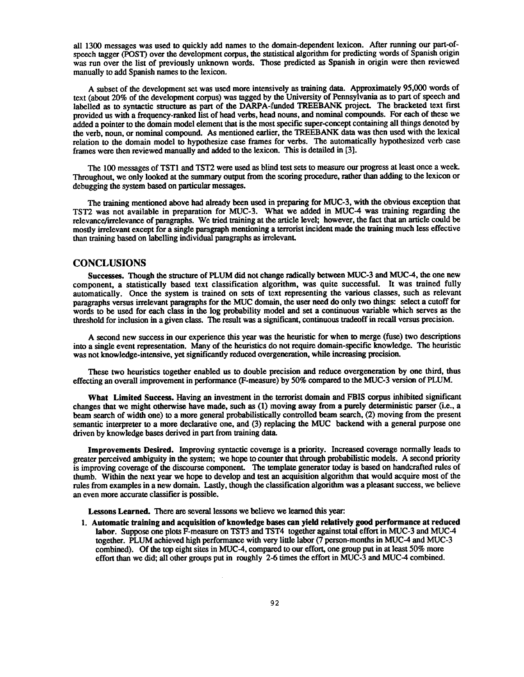all 1300 messages was used to quickly add names to the **domain-dependent** lexicon . After running our part-ofspeech tagger (POST) over the development corpus, the statistical algorithm for predicting words of Spanish origin was run over the list of **previously unknown** words. Those predicted as **Spanish** in **origin** were then reviewed manually to add Spanish names to the lexicon.

A subset of the **development** set was used more **intensively** as **training** data . **Approximately** 95,000 words of text (about 20% of the development corpus) was tagged by the University of Pennsylvania as to part of speech and labelled as to syntactic structure as part of the **DARPA-funded** TREEBANK project. The bracketed text first provided us with a **frequency-ranked** list of **head verbs, head nouns, and nominal compounds .** For each of these we added a pointer to the domain model element that is the most specific super-concept containing all things denoted by the verb, noun, or nominal **compound.** As mentioned earlier, the TREEBANK data was then used with the lexical relation to the domain model to hypothesize case frames for verbs. The automatically hypothesized verb case frames were then reviewed manually and added to the lexicon. This is detailed in [3].

The 100 messages of TST1 and TST2 were used as blind test sets to measure our progress at least once a week. **Throughout,** we only **looked** at the **summary output from** the scoring procedure, rather than **adding** to the lexicon or debugging the system based on particular messages.

The **training mentioned above** had **already been used** in **preparing** for MUC-3, with the **obvious** exception that TST2 was not available in preparation for MUC-3 . What we added in MUC-4 was training regarding the **relevance/irrelevance** of paragraphs. We tried training at the article level; however, the fact that an article could b e mostly irrelevant except for a single paragraph mentioning a terrorist incident made the training much less effective than training based on labelling individual paragraphs as irrelevant.

## **CONCLUSIONS**

**Successes. Though the structure of PLUM did not change radically between MUC-3 and MUC-4, the one ne w component, a statistically based text classification algorithm, was quite successful . It was trained fully automatically . Once the system is trained on sets of text representing the various classes, such as relevant paragraphs versus irrelevant paragraphs for the MUC domain, the user need do only two things : select a cutoff for** words to be used for each class in the log probability model and set a continuous variable which serves as the **threshold for inclusion in a given class. The result was a significant, continuous tradeoff in recall versus precision .**

**A second new success in our experience this year was the heuristic for when to merge (fuse) two descriptions into a single event representation. Many of the heuristics do not require domain-specific knowledge . The heuristi c was not knowledge-intensive, yet significantly reduced overgeneration, while increasing precision .**

These **two** heuristics **together enabled us to double precision and** reduce **overgeneration by one** third, **thus** effecting **an** overall **improvement in** performance (F-measure) **by** 50% **compared to** the MUC-3 version of PLUM.

**What Limited Success. Having an investment in the terrorist domain and FBIS corpus inhibited significan t changes that** we **might** otherwise **have** made, **such** as (1) **moving away** from a **purely** deterministic parser (i .e., **a** beam search of width one) to a more general **probabilistically** controlled beam search, (2) moving from the present semantic interpreter to a more declarative one, **and** (3) replacing the MUC backend with a general purpose one driven by knowledge bases derived in part from training data.

**Improvements Desired.** Improving syntactic coverage is a priority. Increased coverage normally leads to greater perceived **ambiguity** in the system; we hope to counter that **through probabilistic** models. A second priority is improving coverage of the discourse component. The template **generator** today is based on handcrafted rules of thumb. Within the next year we hope to **develop** and test **an acquisition algorithm** that **would** acquire most of the rules from examples in a new domain. Lastly, **though** the classification algorithm was a pleasant success, we believe an even more accurate classifier is possible .

**Lessons Learned.** There are several lessons we believe we learned this year:

**<sup>1</sup> . Automatic training and acquisition of knowledge bases can yield relatively good performance at reduce d** labor. Suppose one plots F-measure on TST3 and TST4 together against total effort in MUC-3 and MUC-4 together. PLUM achieved high performance with very little labor (7 **person-months** in MUC-4 and MUC-3 combined). Of the top eight sites in MUC-4, compared to our effort, one group **put** in at least 50% more effort than we did; all other groups put in **roughly** 2-6 times the effort in MUC-3 and MUC-4 combined .